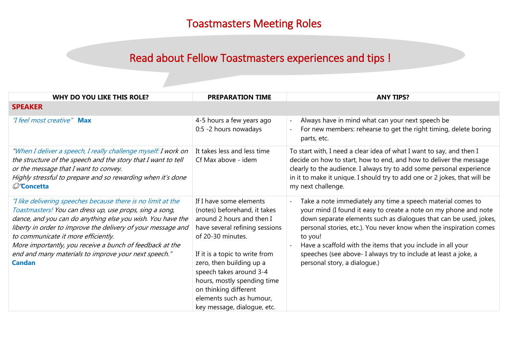## Read about Fellow Toastmasters experiences and tips !

| <b>WHY DO YOU LIKE THIS ROLE?</b>                                                                                                                                                                                                                                                                                                                                                                                                 | <b>PREPARATION TIME</b>                                                                                                                                                                                                                                                                                                                                 | <b>ANY TIPS?</b>                                                                                                                                                                                                                                                                                                                                                                                                                                        |
|-----------------------------------------------------------------------------------------------------------------------------------------------------------------------------------------------------------------------------------------------------------------------------------------------------------------------------------------------------------------------------------------------------------------------------------|---------------------------------------------------------------------------------------------------------------------------------------------------------------------------------------------------------------------------------------------------------------------------------------------------------------------------------------------------------|---------------------------------------------------------------------------------------------------------------------------------------------------------------------------------------------------------------------------------------------------------------------------------------------------------------------------------------------------------------------------------------------------------------------------------------------------------|
| <b>SPEAKER</b>                                                                                                                                                                                                                                                                                                                                                                                                                    |                                                                                                                                                                                                                                                                                                                                                         |                                                                                                                                                                                                                                                                                                                                                                                                                                                         |
| "I feel most creative" Max                                                                                                                                                                                                                                                                                                                                                                                                        | 4-5 hours a few years ago<br>0:5 -2 hours nowadays                                                                                                                                                                                                                                                                                                      | Always have in mind what can your next speech be<br>For new members: rehearse to get the right timing, delete boring<br>parts, etc.                                                                                                                                                                                                                                                                                                                     |
| "When I deliver a speech, I really challenge myself: I work on<br>the structure of the speech and the story that I want to tell<br>or the message that I want to convey.<br>Highly stressful to prepare and so rewarding when it's done<br>C'Concetta                                                                                                                                                                             | It takes less and less time<br>Cf Max above - idem                                                                                                                                                                                                                                                                                                      | To start with, I need a clear idea of what I want to say, and then I<br>decide on how to start, how to end, and how to deliver the message<br>clearly to the audience. I always try to add some personal experience<br>in it to make it unique. I should try to add one or 2 jokes, that will be<br>my next challenge.                                                                                                                                  |
| "I like delivering speeches because there is no limit at the<br>Toastmasters! You can dress up, use props, sing a song,<br>dance, and you can do anything else you wish. You have the<br>liberty in order to improve the delivery of your message and<br>to communicate it more efficiently.<br>More importantly, you receive a bunch of feedback at the<br>end and many materials to improve your next speech."<br><b>Candan</b> | If I have some elements<br>(notes) beforehand, it takes<br>around 2 hours and then I<br>have several refining sessions<br>of 20-30 minutes.<br>If it is a topic to write from<br>zero, then building up a<br>speech takes around 3-4<br>hours, mostly spending time<br>on thinking different<br>elements such as humour,<br>key message, dialogue, etc. | Take a note immediately any time a speech material comes to<br>your mind (I found it easy to create a note on my phone and note<br>down separate elements such as dialogues that can be used, jokes,<br>personal stories, etc.). You never know when the inspiration comes<br>to you!<br>Have a scaffold with the items that you include in all your<br>speeches (see above- I always try to include at least a joke, a<br>personal story, a dialogue.) |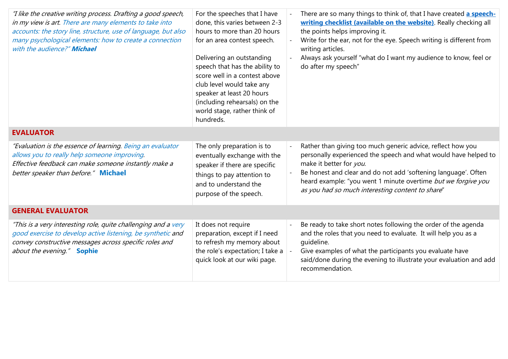| "I like the creative writing process. Drafting a good speech,<br>in my view is art. There are many elements to take into<br>accounts: the story line, structure, use of language, but also<br>many psychological elements: how to create a connection<br>with the audience?" Michael | For the speeches that I have<br>done, this varies between 2-3<br>hours to more than 20 hours<br>for an area contest speech.<br>Delivering an outstanding<br>speech that has the ability to<br>score well in a contest above<br>club level would take any<br>speaker at least 20 hours<br>(including rehearsals) on the<br>world stage, rather think of<br>hundreds. |  | There are so many things to think of, that I have created a speech-<br>writing checklist (available on the website). Really checking all<br>the points helps improving it.<br>Write for the ear, not for the eye. Speech writing is different from<br>writing articles.<br>Always ask yourself "what do I want my audience to know, feel or<br>do after my speech" |  |  |
|--------------------------------------------------------------------------------------------------------------------------------------------------------------------------------------------------------------------------------------------------------------------------------------|---------------------------------------------------------------------------------------------------------------------------------------------------------------------------------------------------------------------------------------------------------------------------------------------------------------------------------------------------------------------|--|--------------------------------------------------------------------------------------------------------------------------------------------------------------------------------------------------------------------------------------------------------------------------------------------------------------------------------------------------------------------|--|--|
| <b>EVALUATOR</b>                                                                                                                                                                                                                                                                     |                                                                                                                                                                                                                                                                                                                                                                     |  |                                                                                                                                                                                                                                                                                                                                                                    |  |  |
| "Evaluation is the essence of learning. Being an evaluator<br>allows you to really help someone improving.<br>Effective feedback can make someone instantly make a<br>better speaker than before." Michael                                                                           | The only preparation is to<br>eventually exchange with the<br>speaker if there are specific<br>things to pay attention to<br>and to understand the<br>purpose of the speech.                                                                                                                                                                                        |  | Rather than giving too much generic advice, reflect how you<br>personally experienced the speech and what would have helped to<br>make it better for you.<br>Be honest and clear and do not add 'softening language'. Often<br>heard example: "you went 1 minute overtime but we forgive you<br>as you had so much interesting content to share"                   |  |  |
| <b>GENERAL EVALUATOR</b>                                                                                                                                                                                                                                                             |                                                                                                                                                                                                                                                                                                                                                                     |  |                                                                                                                                                                                                                                                                                                                                                                    |  |  |
| "This is a very interesting role, quite challenging and a very<br>good exercise to develop active listening, be synthetic and<br>convey constructive messages across specific roles and<br>about the evening." Sophie                                                                | It does not require<br>preparation, except if I need<br>to refresh my memory about<br>the role's expectation; I take a<br>quick look at our wiki page.                                                                                                                                                                                                              |  | Be ready to take short notes following the order of the agenda<br>and the roles that you need to evaluate. It will help you as a<br>quideline.<br>Give examples of what the participants you evaluate have<br>said/done during the evening to illustrate your evaluation and add<br>recommendation.                                                                |  |  |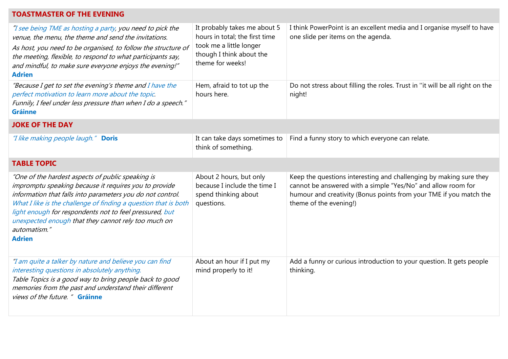## **TOASTMASTER OF THE EVENING**

| "I see being TME as hosting a party, you need to pick the<br>venue, the menu, the theme and send the invitations.<br>As host, you need to be organised, to follow the structure of<br>the meeting, flexible, to respond to what participants say,<br>and mindful, to make sure everyone enjoys the evening!"<br><b>Adrien</b>                                                                  | It probably takes me about 5<br>hours in total; the first time<br>took me a little longer<br>though I think about the<br>theme for weeks! | I think PowerPoint is an excellent media and I organise myself to have<br>one slide per items on the agenda.                                                                                                                       |  |  |  |
|------------------------------------------------------------------------------------------------------------------------------------------------------------------------------------------------------------------------------------------------------------------------------------------------------------------------------------------------------------------------------------------------|-------------------------------------------------------------------------------------------------------------------------------------------|------------------------------------------------------------------------------------------------------------------------------------------------------------------------------------------------------------------------------------|--|--|--|
| "Because I get to set the evening's theme and I have the<br>perfect motivation to learn more about the topic.<br>Funnily, I feel under less pressure than when I do a speech."<br><b>Gráinne</b>                                                                                                                                                                                               | Hem, afraid to tot up the<br>hours here.                                                                                                  | Do not stress about filling the roles. Trust in "it will be all right on the<br>night!                                                                                                                                             |  |  |  |
| <b>JOKE OF THE DAY</b>                                                                                                                                                                                                                                                                                                                                                                         |                                                                                                                                           |                                                                                                                                                                                                                                    |  |  |  |
| "I like making people laugh." Doris                                                                                                                                                                                                                                                                                                                                                            | It can take days sometimes to<br>think of something.                                                                                      | Find a funny story to which everyone can relate.                                                                                                                                                                                   |  |  |  |
| <b>TABLE TOPIC</b>                                                                                                                                                                                                                                                                                                                                                                             |                                                                                                                                           |                                                                                                                                                                                                                                    |  |  |  |
| "One of the hardest aspects of public speaking is<br>impromptu speaking because it requires you to provide<br>information that falls into parameters you do not control.<br>What I like is the challenge of finding a question that is both<br>light enough for respondents not to feel pressured, but<br>unexpected enough that they cannot rely too much on<br>automatism."<br><b>Adrien</b> | About 2 hours, but only<br>because I include the time I<br>spend thinking about<br>questions.                                             | Keep the questions interesting and challenging by making sure they<br>cannot be answered with a simple "Yes/No" and allow room for<br>humour and creativity (Bonus points from your TME if you match the<br>theme of the evening!) |  |  |  |
| "I am quite a talker by nature and believe you can find<br>interesting questions in absolutely anything.<br>Table Topics is a good way to bring people back to good<br>memories from the past and understand their different<br>views of the future. " Gráinne                                                                                                                                 | About an hour if I put my<br>mind properly to it!                                                                                         | Add a funny or curious introduction to your question. It gets people<br>thinking.                                                                                                                                                  |  |  |  |